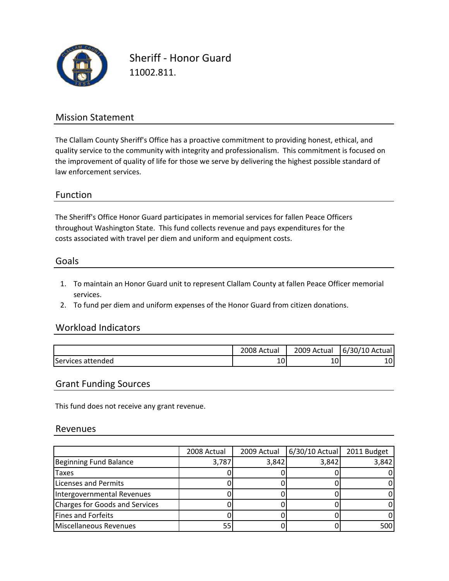

Sheriff ‐ Honor Guard 11002.811.

## Mission Statement

The Clallam County Sheriff's Office has a proactive commitment to providing honest, ethical, and quality service to the community with integrity and professionalism. This commitment is focused on the improvement of quality of life for those we serve by delivering the highest possible standard of law enforcement services.

### Function

The Sheriff's Office Honor Guard participates in memorial services for fallen Peace Officers costs associated with travel per diem and uniform and equipment costs. throughout Washington State. This fund collects revenue and pays expenditures for the

#### Goals

- 1. To maintain an Honor Guard unit to represent Clallam County at fallen Peace Officer memorial services.
- 2. To fund per diem and uniform expenses of the Honor Guard from citizen donations.

### Workload Indicators

|                   | 2008 Actual | 2009<br>Actual | $\sqrt{2}$<br>-<br>/10<br>Actual<br>67<br>3U/ |
|-------------------|-------------|----------------|-----------------------------------------------|
| Services attended | 1 C<br>TO.  | ٠∩.<br>ιU.     | 10 <sup>1</sup>                               |

### Grant Funding Sources

This fund does not receive any grant revenue.

#### Revenues

|                                | 2008 Actual | 2009 Actual | $6/30/10$ Actual | 2011 Budget |
|--------------------------------|-------------|-------------|------------------|-------------|
| Beginning Fund Balance         | 3,787       | 3,842       | 3,842            | 3,842       |
| <b>Taxes</b>                   |             |             |                  |             |
| Licenses and Permits           |             |             |                  |             |
| Intergovernmental Revenues     |             |             |                  |             |
| Charges for Goods and Services |             |             |                  |             |
| Fines and Forfeits             |             |             |                  |             |
| Miscellaneous Revenues         | 55.         |             |                  | 500         |